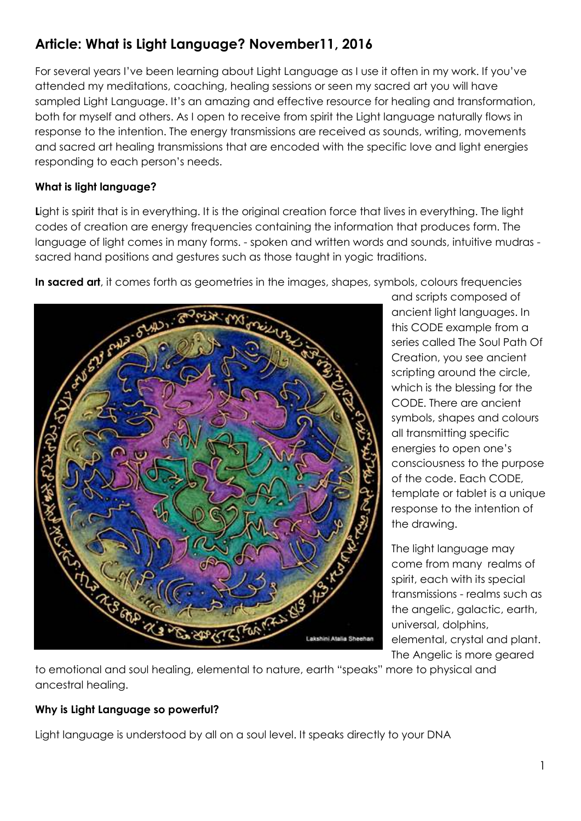# **Article: What is Light Language? November11, 2016**

For several years I've been learning about Light Language as I use it often in my work. If you've attended my meditations, coaching, healing sessions or seen my sacred art you will have sampled Light Language. It's an amazing and effective resource for healing and transformation, both for myself and others. As I open to receive from spirit the Light language naturally flows in response to the intention. The energy transmissions are received as sounds, writing, movements and sacred art healing transmissions that are encoded with the specific love and light energies responding to each person's needs.

### **What is light language?**

Light is spirit that is in everything. It is the original creation force that lives in everything. The light codes of creation are energy frequencies containing the information that produces form. The language of light comes in many forms. - spoken and written words and sounds, intuitive mudras sacred hand positions and gestures such as those taught in yogic traditions.



**In sacred art**, it comes forth as geometries in the images, shapes, symbols, colours frequencies

and scripts composed of ancient light languages. In this CODE example from a series called The Soul Path Of Creation, you see ancient scripting around the circle, which is the blessing for the CODE. There are ancient symbols, shapes and colours all transmitting specific energies to open one's consciousness to the purpose of the code. Each CODE, template or tablet is a unique response to the intention of the drawing.

The light language may come from many realms of spirit, each with its special transmissions - realms such as the angelic, galactic, earth, universal, dolphins, elemental, crystal and plant. The Angelic is more geared

to emotional and soul healing, elemental to nature, earth "speaks" more to physical and ancestral healing.

## **Why is Light Language so powerful?**

Light language is understood by all on a soul level. It speaks directly to your DNA